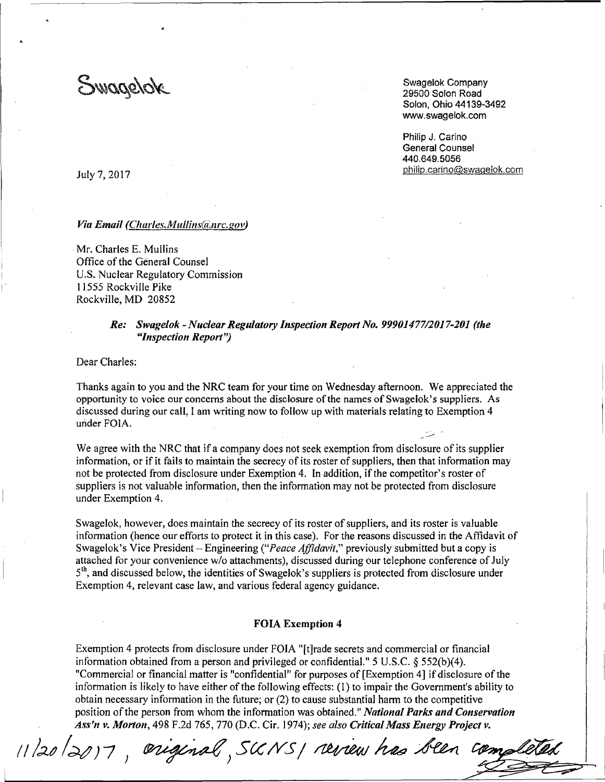Swagelok

Swagelok Company 29500 Solon Road Solon, Ohio 44139-3492 www.swagelok.com

Philip J. Carino General Counsel 440.649.5056 philip.carino@swagelok.com

July 7, 2017

### *Via Email (Charles.Mullins(a,nrc.gov)*

Mr. Charles E. Mullins Office of the General Counsel U.S. Nuclear Regulatory Commission 11555 Rockville Pike Rockville, MD 20852

# *Re: Swagelok -Nuclear Regulatory Inspection Report No. 99901477/2017-201 (the "lt1spection Report'')*

Dear Charles:

Thanks again to you and the NRC team for your time on Wednesday afternoon. We appreciated the opportunity to voice our concerns about the disclosure of the names of Swagelok's suppliers. As discussed during our call, I am writing now to follow up with materials relating to Exemption 4 under FOIA.

We agree with the NRC that if a company does not seek exemption from disclosure of its supplier information, or if it fails to maintain the secrecy of its roster of suppliers, then that information may not be protected from disclosure under Exemption 4. In addition, if the competitor's roster of suppliers is not valuable information, then the information may not be protected from disclosure under Exemption 4.

Swagelok, however, does maintain the secrecy of its roster of suppliers, and its roster is valuable information (hence our efforts to protect it in this case). For the reasons discussed in the Affidavit of Swagelok's Vice President - Engineering ("Peace Affidavit," previously submitted but a copy is attached for your convenience w/o attachments), discussed during our telephone conference of July 5<sup>th</sup>, and discussed below, the identities of Swagelok's suppliers is protected from disclosure under Exemption 4, relevant case law, and various federal agency guidance.

### **FOIA Exemption 4**

Exemption 4 protects from disclosure under FOIA "[t]rade secrets and commercial or financial information obtained from a person and privileged or confidential." 5 U.S.C. § 552(b)(4). "Commercial or financial matter is "confidential" for purposes of [Exemption 4] if disclosure of the information is likely to have either of the following effects: (1) to impair the Government's ability to obtain necessary information in the future; or (2) to cause substantial harm to the competitive position of the person from whom the information was obtained." *National Parks and Conservation As.'f'11 v. Morton,* 498 F.2d 765, 770 (D.C. Cir. 1974); *see also Critical Mass Energy Project v.* 

11/20/2017, eriginal, SKNSI review has been complete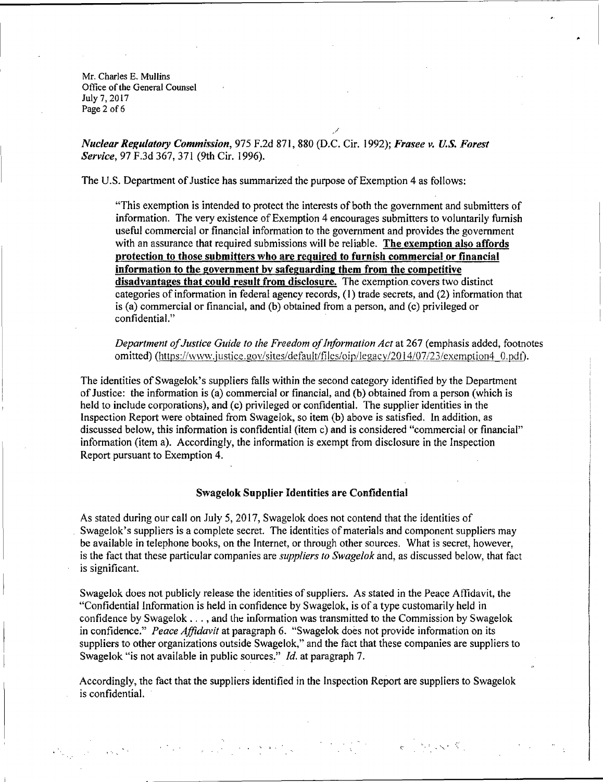Mr. Charles E. Mullins Office of the General Counsel July 7, 2017 Page 2 of 6

*Nuclear Re!(ulatory Commission,* 975 F.2d 871, 880 (D.C. Cir. 1992); *Frasee v. U.S. Forest Service*, 97 F.3d 367, 371 (9th Cir. 1996).

The U.S. Department of Justice has summarized the purpose of Exemption 4 as follows:

"This exemption is intended to protect the interests of both the government and submitters of information. The very existence of Exemption 4 encourages submitters to voluntarily furnish useful commercial or financial information to the government and provides the government with an assurance that required submissions will be reliable. **The exemption also affords protection to those submitters who are required to furnish commercial or financial information to the government by safeguarding them from the competitive disadvantages that could result from disclosure.** The exemption covers two distinct categories of information in federal agency records, (1) trade secrets, and (2) information that is (a) commercial or financial, and (b) obtained from a person, and (c) privileged or confidential."

/

*Department of Justice Guide to 1he Freedom of Information Act* at 267 (emphasis added, footnotes omitted) (https://www.justice.gov/sites/default/files/oip/legacy/2014/07/23/exemption4 0.pdf).

The identities of Swagelok's suppliers falls within the second category identified by the Department of Justice: the information is (a) commercial or financial, and (b) obtained from a person (which is held to include corporations), and (c) privileged or confidential. The supplier identities in the Inspection Report were obtained from Swagelok, so item (b) above is satisfied. In addition, as discussed below, this information is confidential (item c) and is considered "commercial or financial" information (item a). Accordingly, the information is exempt from disclosure in the Inspection Report pursuant to Exemption 4.

#### **Swagelok Supplier Identities are Confidential**

As stated during our call on July 5, 2017, Swagelok does not contend that the identities of Swagelok's suppliers is a complete secret. The identities of materials and component suppliers may be available in telephone books, on the Internet, or through other sources. What is secret, however, is the fact that these particular companies are *suppliers to Swagelok* and, as discussed below, that fact is significant.

Swagelok does not publicly release the identities of suppliers. As stated in the Peace Affidavit, the "Confidential Information is held in confidence by Swagelok, is of a type customarily held in confidence by Swagelok  $\dots$ , and the information was transmitted to the Commission by Swagelok in confidence." *Peace Affidavit* at paragraph 6. "Swagelok does not provide information on its suppliers to other organizations outside Swagelok," and the fact that these companies are suppliers to Swagelok "is not available in public sources." *Id.* at paragraph 7.

Accordingly, the fact that the suppliers identified in the Inspection Report are suppliers to Swagelok is confidential.

 $\mathcal{L}(\mathcal{L}^{\mathcal{L}}_{\mathcal{L}})$  and the contribution of the contribution of the contribution of  $\mathcal{L}^{\mathcal{L}}_{\mathcal{L}}$ 

, . . .  $\mathcal{L} = \mathcal{L} \left( \mathcal{L} \right)$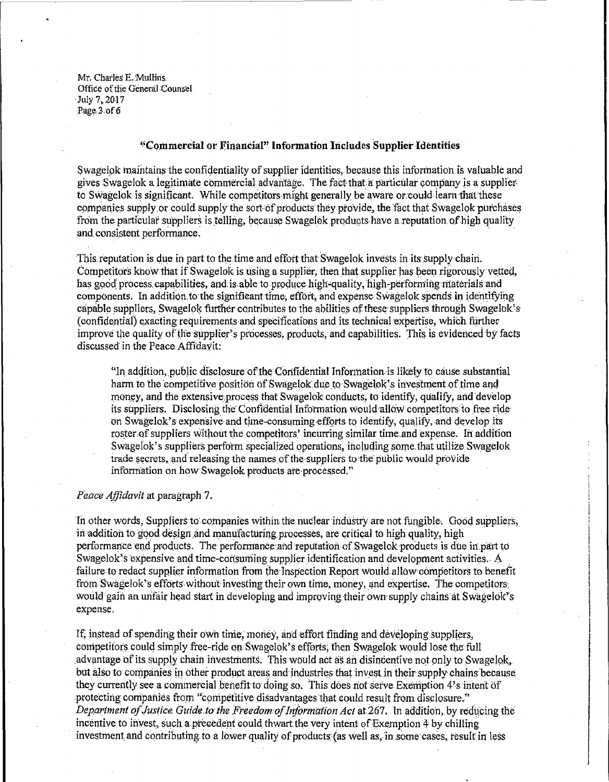Mr. Charles E. Mullins. Office of the General Counsel July 7, 2017 Page 3 of 6

### "Commercial or Financial" Information Includes Supplier Identities

Swagelok maintains the confidentiality of supplier identities, because this information is valuable and gives Swagelok a legitimate commercial advantage. The fact that a particular company is a supplier to Swagelok is significant. While competitors might generally be aware or could learn that these companies supply or could supply the sort of products they provide, the fact that Swagelok purchases from the particular suppliers is telling, because Swagelok products have a reputation of high quality and consistent performance.

This reputation is due in part to the time and effort that Swagelok invests in its supply chain. Competitors know that if Swagelok is using a supplier, then that supplier has been rigorously vetted, has good process capabilities, and is able to produce high-quality, high-performing materials and components. In addition to the significant time, effort, and expense Swagelok spends in identifying capable suppliers. Swagelok further contributes to the abilities of these suppliers through Swagelok's (confidential) exacting requirements and specifications and its technical expertise, which further improve the quality of the supplier's processes, products, and capabilities. This is evidenced by facts discussed in the Peace Affidavit:

"In addition, public disclosure of the Confidential Information is likely to cause substantial harm to the competitive position of Swagelok due to Swagelok's investment of time and money, and the extensive process that Swagelok conducts, to identify, qualify, and develop its suppliers. Disclosing the Confidential Information would allow competitors to free ride on Swagelok's expensive and time-consuming efforts to identify, qualify, and develop its roster of suppliers without the competitors' incurring similar time and expense. In addition Swagelok's suppliers perform specialized operations, including some that utilize Swagelok trade secrets, and releasing the names of the suppliers to the public would provide information on how Swagelok products are processed."

### Peace Affidavit at paragraph 7.

In other words, Suppliers to companies within the nuclear industry are not fungible. Good suppliers, in addition to good design and manufacturing processes, are critical to high quality, high performance end products. The performance and reputation of Swagelok products is due in part to Swagelok's expensive and time-consuming supplier identification and development activities. A failure to redact supplier information from the Inspection Report would allow competitors to benefit from Swagelok's efforts without investing their own time, money, and expertise. The competitors, would gain an unfair head start in developing and improving their own supply chains at Swagelok's expense.

If, instead of spending their own time, money, and effort finding and developing suppliers, competitors could simply free-ride on Swagelok's efforts, then Swagelok would lose the full advantage of its supply chain investments. This would act as an disincentive not only to Swagelok. but also to companies in other product areas and industries that invest in their supply chains because they currently see a commercial benefit to doing so. This does not serve Exemption 4's intent of protecting companies from "competitive disadvantages that could result from disclosure." Department of Justice Guide to the Freedom of Information Act at 267. In addition, by reducing the incentive to invest, such a precedent could thwart the very intent of Exemption 4 by chilling investment and contributing to a lower quality of products (as well as, in some cases, result in less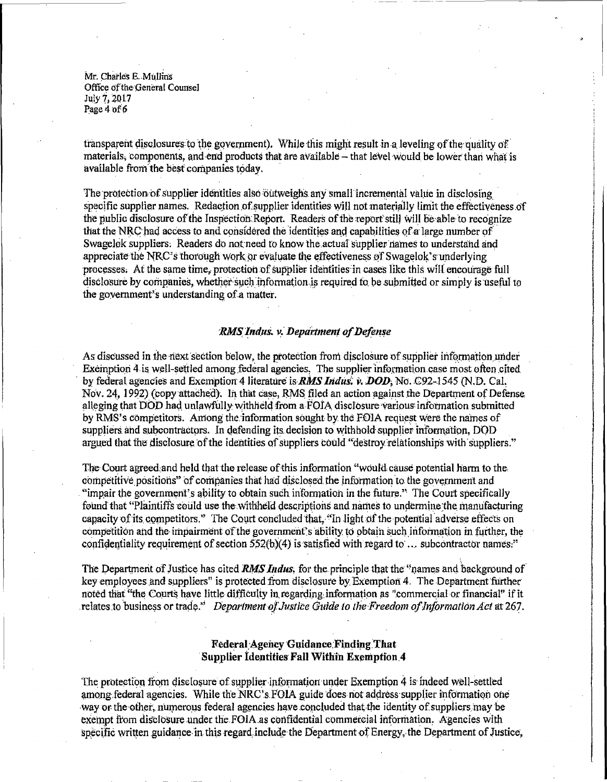Mr. Charles E. Mullins Office of the General Counsel July 7, 2017 Page 4 of 6

transparent disclosures to the government). While this might result in a leveling of the quality of materials, components, and end products that are available – that level would be lower than what is available from the best companies today.

The protection of supplier identities also outweighs any small incremental value in disclosing specific supplier names. Redaction of supplier identities will not materially limit the effectiveness of the public disclosure of the Inspection Report. Readers of the report still will be able to recognize that the NRC had access to and considered the identities and capabilities of a large number of Swagelok suppliers. Readers do not need to know the actual supplier names to understand and appreciate the NRC's thorough work or evaluate the effectiveness of Swagelok's underlying processes. At the same time, protection of supplier identities in cases like this will encourage full disclosure by companies, whether such information is required to be submitted or simply is useful to the government's understanding of a matter.

### RMS Indus. v. Department of Defense

As discussed in the next section below, the protection from disclosure of supplier information under Exemption 4 is well-settled among federal agencies. The supplier information case most often cited by federal agencies and Exemption 4 literature is **RMS Indus**; v. **DOD**, No. C92-1545 (N.D. Cal. Nov. 24, 1992) (copy attached). In that case, RMS filed an action against the Department of Defense alleging that DOD had unlawfully withheld from a FOIA disclosure various information submitted by RMS's competitors. Among the information sought by the FOIA request were the names of suppliers and subcontractors. In defending its decision to withhold supplier information, DOD argued that the disclosure of the identities of suppliers could "destroy relationships with suppliers."

The Court agreed and held that the release of this information "would cause potential harm to the competitive positions" of companies that had disclosed the information to the government and "impair the government's ability to obtain such information in the future." The Court specifically found that "Plaintiffs could use the withheld descriptions and names to undermine the manufacturing capacity of its competitors." The Court concluded that, "In light of the potential adverse effects on competition and the impairment of the government's ability to obtain such information in further, the confidentiality requirement of section  $552(b)(4)$  is satisfied with regard to ... subcontractor names."

The Department of Justice has cited RMS Indus, for the principle that the "names and background of key employees and suppliers" is protected from disclosure by Exemption 4. The Department further noted that "the Courts have little difficulty in regarding information as "commercial or financial" if it relates to business or trade.<sup>35</sup> Department of Justice Guide to the Freedom of Information Act at 267.

# **Federal Agency Guidance Finding That Supplier Identities Fall Within Exemption 4**

The protection from disclosure of supplier information under Exemption 4 is indeed well-settled among federal agencies. While the NRC's FOIA guide does not address supplier information one way or the other, numerous federal agencies have concluded that the identity of suppliers may be exempt from disclosure under the FOIA as confidential commercial information. Agencies with specific written guidance in this regard include the Department of Energy, the Department of Justice,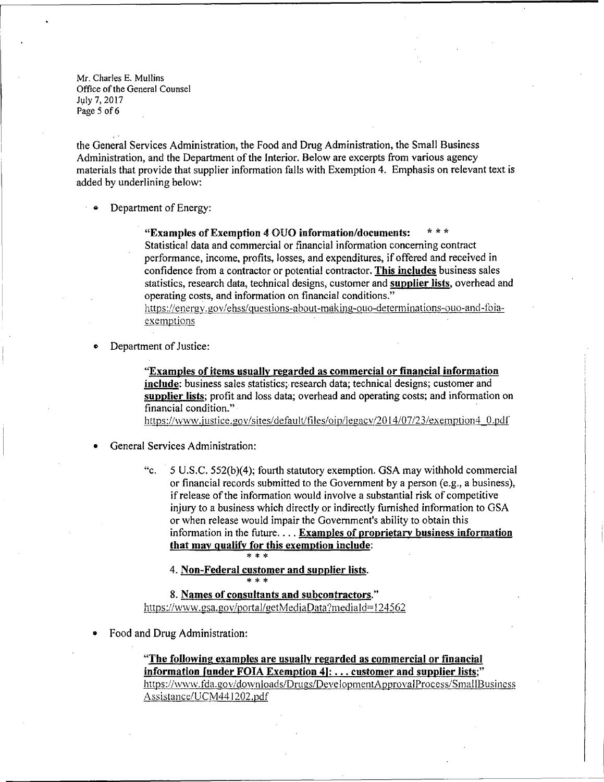Mr. Charles E. Mullins Office of the General Counsel July 7, 2017 Page 5 of 6

'. the General Services Administration, the Food and Drug Administration, the Small Business Administration, and the Department of the Interior. Below are excerpts from various agency materials that provide that supplier information falls with Exemption 4. Emphasis on relevant text is added by underlining below:

**Department of Energy:** 

**"Examples of Exemption 4** OUO **information/documents:** \* \* \* Statistical data and commercial or financial information concerning contract performance, income, profits, losses, and expenditures, if offered and received in confidence from a contractor or potential contractor. **This includes** business sales statistics, research data, technical designs, customer and **supplier lists,** overhead and operating costs, and information on financial conditions."

https://energv.gov/ehss/questions-about-making-ouo-detenninations-ouo-and-foiaexemptions

**•** Department of Justice:

**"Examples of items usually regarded as commercial or financial information**  include: business sales statistics; research data; technical designs; customer and **supplier lists;** profit and loss data; overhead and operating costs; and information on financial condition." ·

https://www.justice.gov/sites/default/files/oip/legacy/2014/07/23/exemption4 0.pdf

- General Services Administration:
	- "c. 5 U.S.C. 552(b)(4); fourth statutory exemption. GSA may withhold commercial or financial records submitted to the Government by a person (e.g., a business), if release of the information would involve a substantial risk of competitive injury to a business which directly or indirectly furnished information to GSA or when release would impair the Government's ability to obtain this information in the future .... **Examples of proprietary business information that may qualify for this exemption include:**  \* \* \*

4. **Non-Federal customer and supplier lists.** 

\* \* \*

**8. Names of consultants and subcontractors."**  https://www.gsa.gov/portal/getMediaData?mediaId=124562

• Food and Drug Administration:

**"The following examples are usually regarded as commercial or financial information [under FOIA Exemption 4): ... customer and supplier lists;"**  https://www.fda.gov/downloads/Drugs/DevelopmentApprovalProcess/SmallBusiness Assistancc/UCM44 I 202.pdf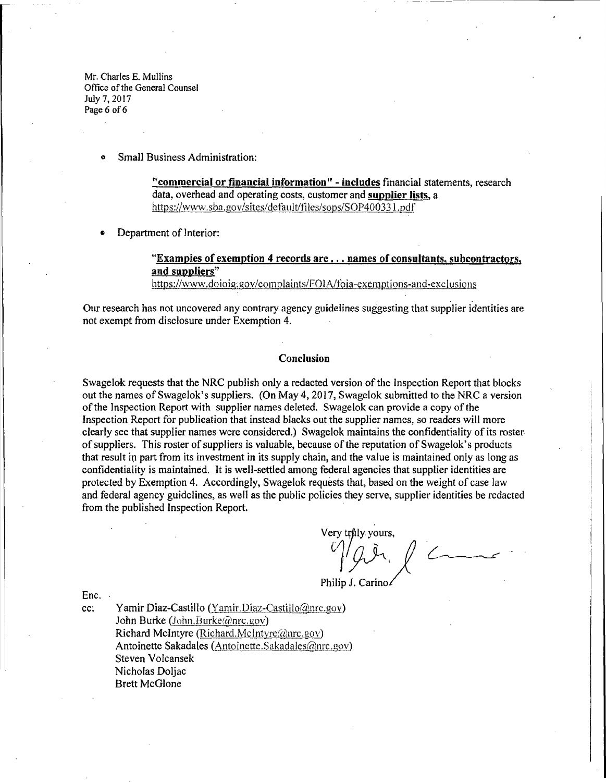Mr. Charles E. Mullins Office of the General Counsel July 7, 2017 Page 6 of 6

Small Business Administration:

**"commercial or financial information"** - **includes** financial statements, research data, overhead and operating costs, customer and **supplier lists,** a https://www.sba.gov/sites/default/files/sops/SOP400331.pdf

**Department of Interior:** 

# **"Examples of exemption 4 records are ... names of consultants, subcontractors, and suppliers"**

https://www.doioig:gov/complaints/FOIA/foia-exemptions-and-exclusions

Our research has not uncovered any contrary agency guidelines suggesting that supplier identities are not exempt from disclosure under Exemption 4.

#### **Conclusion**

Swagelok requests that the NRC publish only a redacted version of the Inspection Report that blocks out the names of Swagelok's suppliers. (On May 4, 2017, Swagelok submitted to the NRC a version of the Inspection Report with supplier names deleted. Swagelok can provide a copy of the Inspection Report for publication that instead blacks out the supplier names, so readers will more clearly see that supplier names were considered.) Swagelok maintains the confidentiality of its roster of suppliers. This roster of suppliers is valuable, because of the reputation of Swagelok's products that result in part from its investment in its supply chain, and the value is maintained only as long as confidentiality is maintained. It is well-settled among federal agencies that supplier identities are protected by Exemption 4. Accordingly, Swagelok requests that, based on the weight of case law and federal agency guidelines, as well as the public policies they serve, supplier identities be redacted from the published Inspection Report.

Very trůly yours,

Philip J. Carino

Enc.

cc: Yamir Diaz-Castillo (Yamir.Diaz-Castillo@nrc.gov) John Burke (John.Burke $(\overline{a})$ nrc.gov) Richard McIntyre (Richard.McIntyre $@$ nrc.gov) Antoinette Sakadales (Antoinette.Sakadales@nrc.gov) Steven Volcansek Nicholas Doljac Brett McGlone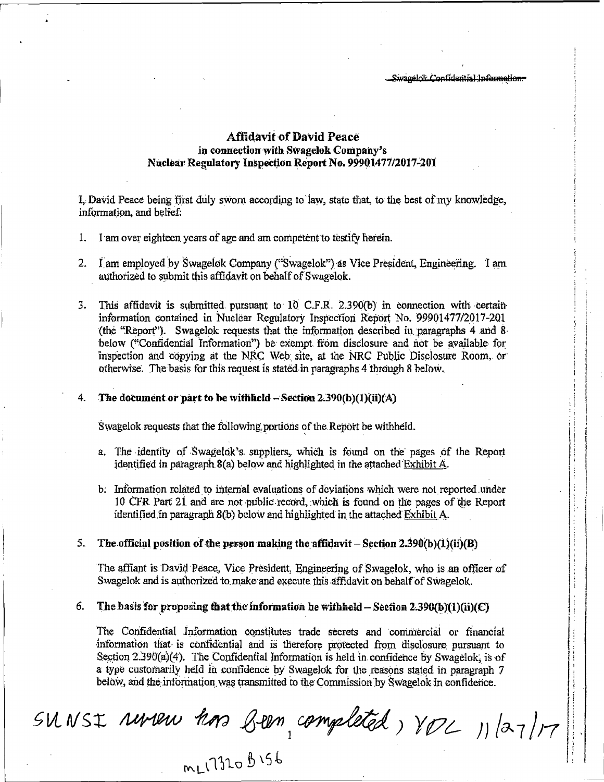Swagelok Confidential Information-

# **Affidavit of David Peace** in connection with Swagelok Company's Nuclear Regulatory Inspection Report No. 99901477/2017-201

I. David Peace being first duly swom according to law, state that, to the best of my knowledge, information, and belief:

- I am over eighteen years of age and am competent to testify herein. Ι.
- I am employed by Swagelok Company ("Swagelok") as Vice President, Engineering. I am  $2.$ authorized to submit this affidavit on behalf of Swagelok.
- This affidavit is submitted pursuant to 10 C.F.R. 2.390(b) in connection with certain 3. information contained in Nuclear Regulatory Inspection Report No. 99901477/2017-201 (the "Report"). Swagelok requests that the information described in paragraphs 4 and 8 below ("Confidential Information") be exempt from disclosure and not be available for inspection and copying at the NRC Web site, at the NRC Public Disclosure Room, or otherwise. The basis for this request is stated in paragraphs 4 through 8 below.

#### The document or part to be withheld  $-$  Section 2.390(b)(1)(ii)(A) 4.

Swagelok requests that the following portions of the Report be withheld.

- a. The identity of Swagelok's suppliers, which is found on the pages of the Report identified in paragraph 8(a) below and highlighted in the attached Exhibit A.
- b. Information related to internal evaluations of deviations which were not reported under 10 CFR Part 21 and are not public record, which is found on the pages of the Report identified in paragraph 8(b) below and highlighted in the attached Exhibit A.

#### $5.$ The official position of the person making the affidavit – Section 2.390(b)(1)(ii)(B)

The affiant is David Peace, Vice President, Engineering of Swagelok, who is an officer of Swagelok and is authorized to make and execute this affidavit on behalf of Swagelok.

#### 6. The basis for proposing that the information be withheld  $-$  Section 2.390(b)(1)(ii)(C)

The Confidential Information constitutes trade secrets and commercial or financial information that is confidential and is therefore protected from disclosure pursuant to Section  $2.390(a)(4)$ . The Confidential Information is held in confidence by Swagelok, is of a type customarily held in confidence by Swagelok for the reasons stated in paragraph 7 below, and the information was transmitted to the Commission by Swagelok in confidence.

SUNSI rureur hors Been, completed, VOL 11/27/17

mL1320 B156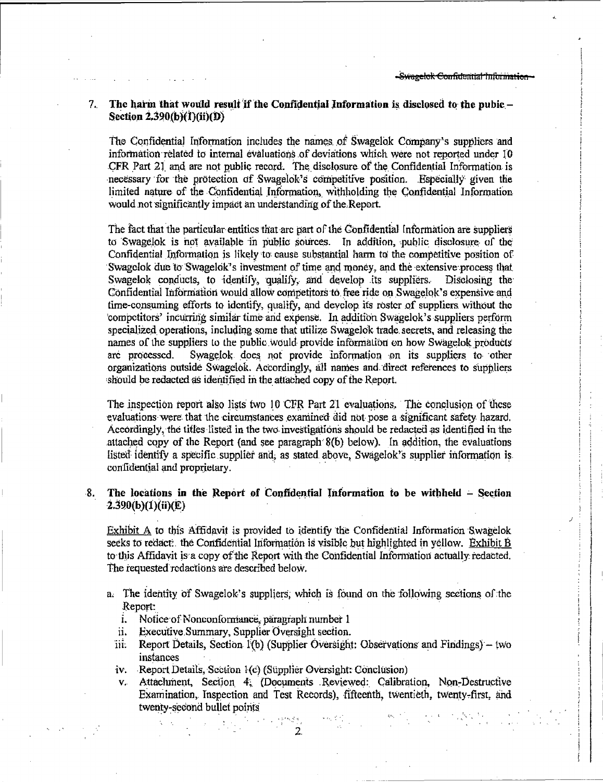#### The harm that would result if the Confidential Information is disclosed to the pubic -7. Section  $2.390(b)(1)(ii)(D)$

The Confidential Information includes the names of Swagelok Company's suppliers and information related to internal evaluations of deviations which were not reported under 10 CFR Part 21 and are not public record. The disclosure of the Confidential Information is necessary for the protection of Swagelok's competitive position. Especially given the limited nature of the Confidential Information, withholding the Confidential Information would not significantly impact an understanding of the Report.

The fact that the particular entities that are part of the Confidential Information are suppliers to Swagelok is not available in public sources. In addition, public disclosure of the Confidential Information is likely to cause substantial harm to the competitive position of Swagelok due to Swagelok's investment of time and money, and the extensive process that Swagelok conducts, to identify, qualify, and develop its suppliers. Disclosing the Confidential Information would allow competitors to free ride on Swagelok's expensive and time-consuming efforts to identify, qualify, and develop its roster of suppliers without the competitors' incurring similar time and expense. In addition Swagelok's suppliers perform specialized operations, including some that utilize Swagelok trade secrets, and releasing the names of the suppliers to the public would provide information on how Swagelok products Swagelok does not provide information on its suppliers to other are processed. organizations outside Swagelok. Accordingly, all names and direct references to suppliers should be redacted as identified in the attached copy of the Report.

The inspection report also lists two 10 CFR Part 21 evaluations. The conclusion of these evaluations were that the circumstances examined did not pose a significant safety hazard. Accordingly, the titles listed in the two investigations should be redacted as identified in the attached copy of the Report (and see paragraph 8(b) below). In addition, the evaluations listed identify a specific supplier and, as stated above, Swagelok's supplier information is confidential and proprietary.

#### The locations in the Report of Confidential Information to be withheld - Section -8. 2.390(b)(1)(ii)(E)

Exhibit A to this Affidavit is provided to identify the Confidential Information Swagelok seeks to reduct. the Confidential Information is visible but highlighted in yellow. Exhibit B to this Affidavit is a copy of the Report with the Confidential Information actually redacted. The requested redactions are described below.

- a. The identity of Swagelok's suppliers, which is found on the following sections of the Report:
	- i. Notice of Nonconformance, paragraph number 1
	- Executive Summary, Supplier Oversight section. 'n.
	- iii. Report Details, Section 1(b) (Supplier Oversight: Observations and Findings) - two instances
	- iv. Report Details, Section 1(c) (Supplier Oversight: Conclusion)
	- v. Attachment, Section 4, (Documents Reviewed: Calibration, Non-Destructive Examination, Inspection and Test Records), fifteenth, twentieth, twenty-first, and twenty-second bullet points

 $\overline{2}$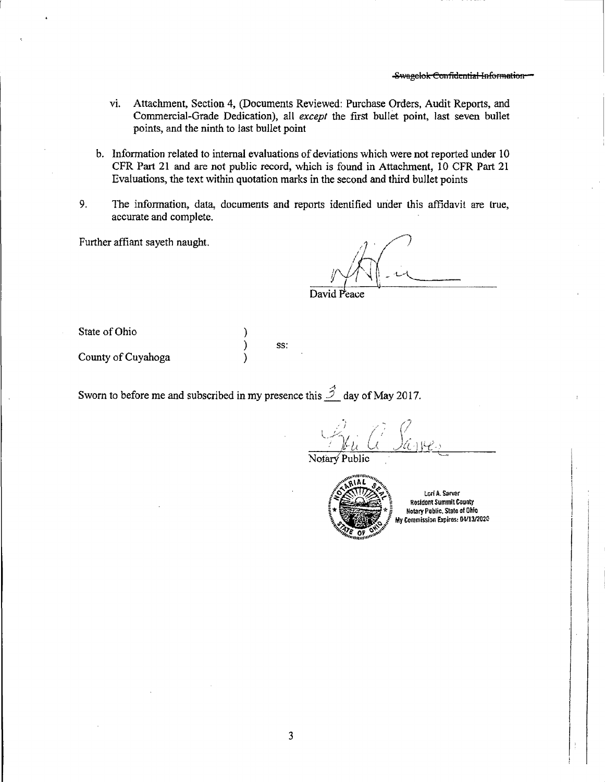- Attachment, Section 4, (Documents Reviewed: Purchase Orders, Audit Reports, and vi. Commercial-Grade Dedication), all except the first bullet point, last seven bullet points, and the ninth to last bullet point
- b. Information related to internal evaluations of deviations which were not reported under 10 CFR Part 21 and are not public record, which is found in Attachment, 10 CFR Part 21 Evaluations, the text within quotation marks in the second and third bullet points
- 9. The information, data, documents and reports identified under this affidavit are true, accurate and complete.

Further affiant sayeth naught.

David Peace

State of Ohio

County of Cuyahoga

Sworn to before me and subscribed in my presence this  $\hat{\mathcal{D}}$  day of May 2017.

λ  $\mathcal{E}$ 

 $\mathcal{E}$ 

SS:

Public



Lori A. Sarver **Resident Summit County Notary Public, State of Ohio** My Commission Expires: 04/13/2020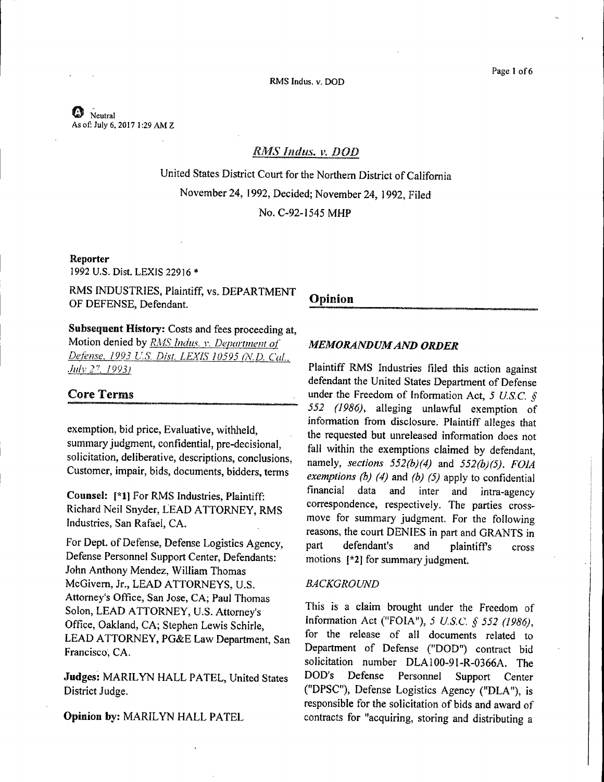RMS Indus. v. DOD

# $\bm{\mathcal{O}}$  Neutral As of: July 6, 2017 1 :29 AM Z

# RMS Indus. v. DOD

United States District Court for the Northern District of California November 24, 1992, Decided; November 24, 1992, Filed No. C-92-1545 MHP

# **Reporter**

1992 U.S. Dist. LEXIS 22916 \*

RMS INDUSTRIES, Plaintiff, vs. DEPARTMENT OF DEFENSE, Defendant.

**Subsequent History:** Costs and fees proceeding at, Motion denied by *RMS Indus. v. Department of Defense, 1993 U.S. Dist. LEXIS 10595 (N.D. Cal., July 27, 1993*)

# **Core Terms**

exemption, bid price, Evaluative, withheld, summary judgment, confidential, pre-decisional, solicitation, deliberative, descriptions, conclusions, Customer, impair, bids, documents, bidders, terms

**Counsel: [\*l]** For RMS Industries, Plaintiff: Richard Neil Snyder, LEAD ATTORNEY, RMS Industries, San Rafael, CA.

For Dept. of Defense, Defense Logistics Agency, Defense Personnel Support Center, Defendants: John Anthony Mendez, William Thomas McGivem, Jr., LEAD ATTORNEYS, U.S. Attorney's Office, San Jose, CA; Paul Thomas Solon, LEAD ATTORNEY, U.S. Attorney's Office, Oakland, CA; Stephen Lewis Schirle, LEAD ATTORNEY, PG&E Law Department, San Francisco, CA.

Judges: MARILYN HALL PATEL, United States District Judge.

**Opinion by: MARILYN HALL PATEL** 

# **Opinion**

# *MEMORANDUM AND ORDER*

Plaintiff RMS Industries filed this action against defendant the United States Department of Defense under the Freedom of Information Act, *5 U.S.C. § 552 (1986),* alleging unlawful exemption of information from disclosure. Plaintiff alleges that the requested but unreleased information does not fall within the exemptions claimed by defendant, namely, *sections 552(b)(4)* and *552(b)(5). FOJA exemptions (b) (4)* and *(b) (5)* apply to confidential financial data and inter and intra-agency correspondence, respectively. The parties crossmove for summary judgment. For the following reasons, the court DENIES in part and GRANTS in part defendant's and plaintiffs cross motions **[\*2]** for summary judgment.

# *BACKGROUND*

This is a claim brought under the Freedom of Information Act ("FOIN'), *5 US.C.* § *552 (1986),*  for the release of all documents related to Department of Defense ("DOD") contract bid solicitation number DLA100-91-R-0366A. The DOD's Defense Personnel Support Center ("DPSC'), Defense Logistics Agency ("DLA"), is responsible for the solicitation of bids and award of contracts for "acquiring, storing and distributing a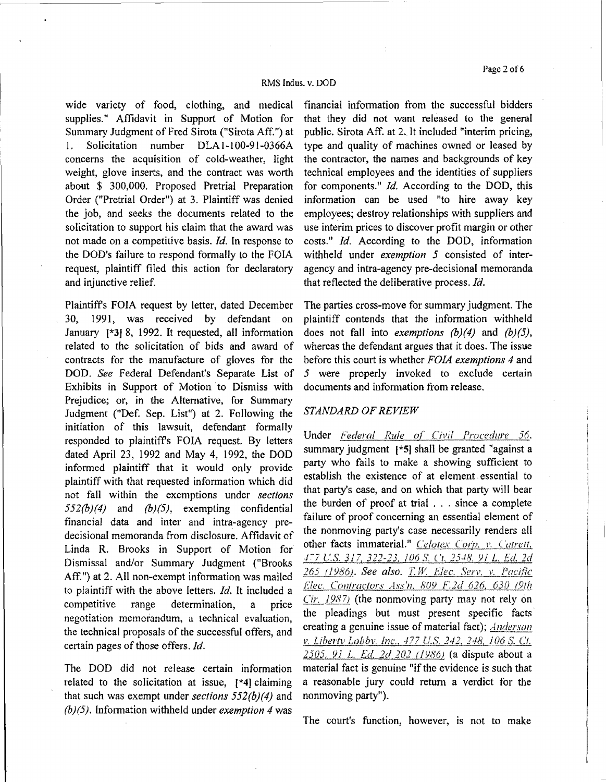#### RMS Indus. v. DOD

wide variety of food, clothing, and medical supplies." Affidavit in Support of Motion for Summary Judgment of Fred Sirota ("Sirota Aff. ") at 1. Solicitation number DLA1-100-91-0366A concerns the acquisition of cold-weather, light weight, glove inserts, and the contract was worth about \$ 300,000. Proposed Pretrial Preparation Order ("Pretrial Order") at 3. Plaintiff was denied the job, and seeks the documents related to the solicitation to support his claim that the award was not made on a competitive basis. *Id.* In response to the DOD's failure to respond formally to the FOIA request, plaintiff filed this action for declaratory and injunctive relief.

Plaintiffs FOIA request by letter, dated December 30, 1991, was received by defendant on January **(\*31** 8, 1992. It requested, all information related to the solicitation of bids and award of contracts for the manufacture of gloves for the DOD. *See* Federal Defendant's Separate List of Exhibits in Support of Motion 'to Dismiss with Prejudice; or, in the Alternative, for Summary Judgment ("Def. Sep. List") at 2. Following the initiation of this lawsuit, defendant formally responded to plaintiffs FOIA request. By letters dated April 23, 1992 and May 4, 1992, the DOD informed plaintiff that it would only provide plaintiff with that requested information which did not fall within the exemptions under *sections 552(b)(4)* and *(b}(5),* exempting confidential financial data and inter and intra-agency predecisional memoranda from disclosure. Affidavit of Linda R. Brooks in Support of Motion for Dismissal and/or Summary Judgment ("Brooks Aff. ") at 2. All non-exempt information was mailed to plaintiff with the above letters. *Id.* It included a competitive range determination, a price negotiation memorandum, a technical evaluation, the technical proposals of the successful offers, and certain pages of those offers. *Id.* 

The DOD did not release certain information related to the solicitation at issue, (\*4] claiming that such was exempt under *sections 552(b)(4)* and *(b)(5).* Information withheld under *exemption 4* was

financial information from the successful bidders that they did not want released to the general public. Sirota Aff. at 2. It included "interim pricing, type and quality of machines owned or leased by the contractor, the names and backgrounds of key technical employees and the identities of suppliers for components.'' *Id.* According to the DOD, this information can be used "to hire away key employees; destroy relationships with suppliers and use interim prices to discover profit margin or other costs." *Id.* According to the DOD, information withheld under *exemption 5* consisted of interagency and intra-agency pre-decisional memoranda that reflected the deliberative process. *Id.* 

The parties cross-move for summary judgment. The plaintiff contends that the information withheld does not fall into *exemptions (b)(4)* and *(b)(5),*  whereas the defendant argues that it does. The issue before this court is whether *FOIA exemptions 4* and *5* were properly invoked to exclude certain documents and information from release.

# *STANDARD OF REVIEW*

Under *Federal Rule of Civil Procedure 56.*  summary judgment [\*5) shall be granted "against a party who fails to make a showing sufficient to establish the existence of at element essential to that party's case, and on which that party will bear the burden of proof at trial . . . since a complete failure of proof concerning an essential element of the nonmoving party's case necessarily renders all other facts immaterial." *Celotex Corp. v. Catrett*, *.r'7* l.:.s. *311, 322-23. /06 S Ct. 25-18. YI L Ed. 2d 265* 112Jff21. *See also. T.* H< *E!ec. Serv. v. Pacific E!ec\_ Comractors Ass'n. 809 F2d 626, 630\_ (9!11*  Cir. 1987) (the nonmoving party may not rely on the pleadings but must present specific facts· creating a genuine issue of material fact); Anderson *v. Liberty Lobby. Inc., 477 U.S. 242, 248, 106 S. Ct.* 2505, 91 L. Ed. 2d 202 (1986) (a dispute about a material fact is genuine "if the evidence is such that a reasonable jury could return a verdict for the nonmoving party").

The court's function, however, is not to make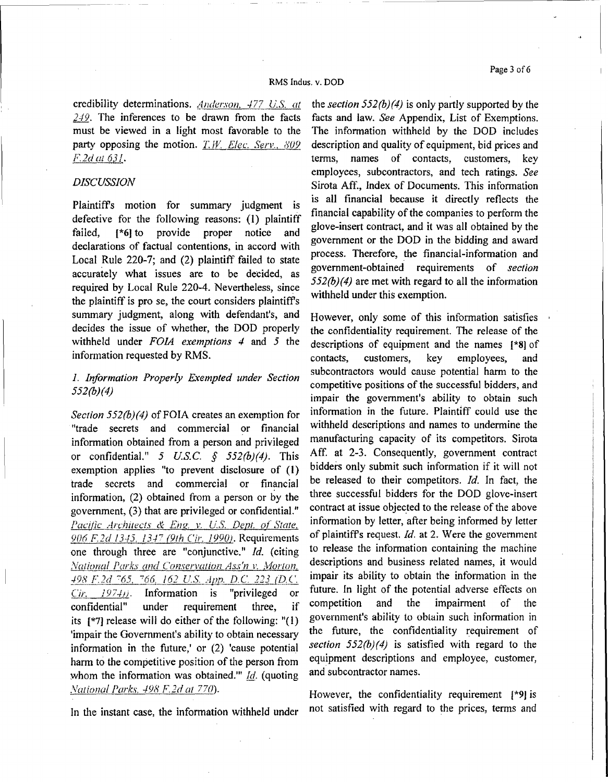#### RMS Indus. v. DOD

credibility determinations. Anderson, 477 *U.S. at*  $249$ . The inferences to be drawn from the facts must be viewed in a light most favorable to the party opposing the motion. *T.W. Elec. Serv.*, 809 *F2dal63!.* .

# *DISCUSSION*

Plaintiff's motion for summary judgment is defective for the following reasons: (I) plaintiff failed, [\*6] to provide proper notice and declarations of factual contentions, in accord with Local Rule 220-7; and (2) plaintiff failed to state accurately what issues are to be decided, as required by Local Rule 220-4. Nevertheless, since the plaintiff is pro se, the court considers plaintiffs summary judgment, along with defendant's, and decides the issue of whether, the DOD properly withheld under *FOJA exemptions 4* and *5* the information requested by RMS.

# *1. Information Properly Exempted under Section 552(b}{4)*

*Section 552(b)(4)* of FOIA creates an exemption for "trade secrets and commercial or financial information obtained from a person and privileged or confidential." *5 US.C. § 552(b)(4).* This exemption applies "to prevent disclosure of (I) trade secrets and commercial or financial information, (2) obtained from a person or by the government, (3) that are privileged or confidential." *Pacific Architects & Eng. v. U.S. Dept. of State,* 906 F.2d 1345. 1347 (9th Cir. 1990). Requirements one through three are "conjunctive." *Id.* (citing *National Parks and Conservation Ass'n v. Morton, :!2lLE1d* <sup>7</sup> *65.* '<it1 *162 U.S\_dJW.· D.C. 223\_(!2£ Cir. 1974)*. Information is "privileged or confidential" under requirement three, if its  $\lceil *7 \rceil$  release will do either of the following: "(1) 'impair the Government's ability to obtain necessary information in the future,' or (2) 'cause potential harm to the competitive position of the person from whom the information was obtained."' *Id.* (quoting *Vational Parks, 498 F. 2d at 770*). **However, the confidentiality requirement** [\*9] is

the *section 552(b)(4)* is only partly supported by the facts and law. *See* Appendix, List of Exemptions. The information withheld by the DOD includes description and quality of equipment, bid prices and terms, names of contacts, customers, key employees, subcontractors, and tech ratings. *See*  Sirota Aff., 1ndex of Documents. This information is all financial because it directly reflects the financial capability of the companies to perform the glove-insert contract, and it was all obtained by the government or the DOD in the bidding and award process. Therefore, the financial-information and government-obtained requirements of *section 552(b)(4)* are met with regard to all the information withheld under this exemption.

However, only some of this information satisfies the confidentiality requirement. The release of the descriptions of equipment and the names [\*8) of contacts, customers, key employees, and subcontractors would cause potential harm to the competitive positions of the successful bidders, and impair the government's ability to obtain such information in the future. Plaintiff could use the withheld descriptions and names to undermine the manufacturing capacity of its competitors. Sirota Aff. at 2-3. Consequently, government contract bidders only submit such information if it will not be released to their competitors. *Id.* In fact, the three successful bidders for the DOD glove-insert contract at issue objected to the release of the above information by letter, after being informed by letter of plaintiffs request. *Id.* at 2. Were the government to release the information containing the machine descriptions and business related names, it would impair its ability to obtain the information in the future. In light of the potential adverse effects on competition and the impairment of the government's ability to obtain such information in the future, the confidentiality requirement of *section 552{h)(4)* is satisfied with regard to the equipment descriptions and employee, customer, and subcontractor names.

In the instant case, the information withheld under not satisfied with regard to the prices, terms and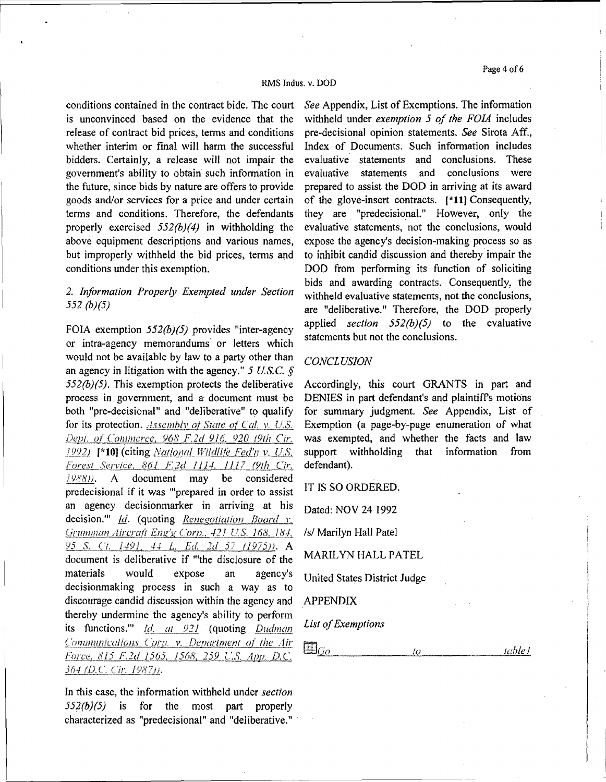Page 4 of 6

#### RMS Indus. v. DOD

conditions contained in the contract bide. The court is unconvinced based on the evidence that the release of contract bid prices, terms and conditions whether interim or final will harm the successful bidders. Certainly, a release will not impair the government's ability to obtain such information in the future, since bids by nature are offers to provide goods and/or services for a price and under certain terms and conditions. Therefore, the defendants properly exercised *552(b}(4)* in withholding the above equipment descriptions and various names, but improperly withheld the bid prices, terms and conditions under this exemption.

# *2. Information Properly Exempted under Section 552 (b)(5)*

FOIA exemption *552(b){5)* provides "inter-agency or intra-agency memorandums or letters which would not be available by law to a party other than an agency in litigation with the agency." *5 US.C. § 552(b)(5).* This exemption protects the deliberative process in government, and a document must be both "pre-decisional" and "deliberative" to qualify for its protection. *Assembly of State of Cal. v. U.S. [kj\_;1. of Commerce, 968 F.2d 916. 920 (9th C'ir. J9Y2J* **(\*10]** (citing *National* Wildlife *Fed'n v. U.S. Forest Service, 861 F.2d 1114, 1117 (9th Cir.* /9h'8)). A document may be considered predecisional if it was "'prepared in order to assist an agency decisionmarker in arriving at his decision." Id. (quoting Renegotiation Board v. Grumman Aircraft Eng'g Corp., 421 U.S. 168, 184, *Y5 S. \_Ct.* L.f.2L.\_.J..f.\_ L. *Ed 2d 57 {1975}). A*  document is deliberative if "'the disclosure of the materials would expose an agency's decisionmaking process in such a way as to discourage candid discussion within the agency and thereby undermine the agency's ability to perform its functions." *Id. at* 921 (quoting Dudman Communications Corp. v. Department of the Air f'<1r!\_~~-8l5 *F.2d* l 0i.QJ. *1568, 2J}L\_C.S\_* App. *D.C.*  364 (D.C. Cir. 1987)).

In this case, the information withheld under *section 552(b)(5)* is for the most part properly characterized as "predecisional" and "deliberative."

*See* Appendix, List of Exemptions. The information withheld under *exemption 5 of the FOIA* includes pre-decisional opinion statements. *See* Sirota Aff., Index of Documents. Such information includes evaluative statements and conclusions. These evaluative statements and conclusions were prepared to assist the DOD in arriving at its award of the glove-insert contracts. **[\*11}** Consequently, they are "predecisional." However, only the evaluative statements, not the conclusions, would expose the agency's decision-making process so as to inhibit candid discussion and thereby impair the DOD from performing its function of soliciting bids and awarding contracts. Consequently, the withheld evaluative statements, not the conclusions, are "deliberative." Therefore, the DOD properly applied *section 552(b)(5)* to the evaluative statements but not the conclusions.

### *CONCLUSION*

Accordingly, this court GRANTS in part and DENIES in part defendant's and plaintiffs motions for summary judgment. *See* Appendix, List of Exemption (a page-by-page enumeration of what was exempted, and whether the facts and law support withholding that information from defendant).

IT IS SO ORDERED.

Dated: NOV 24 1992

*Isl* Marilyn Hall Patel

MARILYN HALL PATEL

United States District Judge

APPENDIX

*List of Exemptions* 

 $\boxplus_{\underline{Go}}$  $\overline{10}$ *wble* J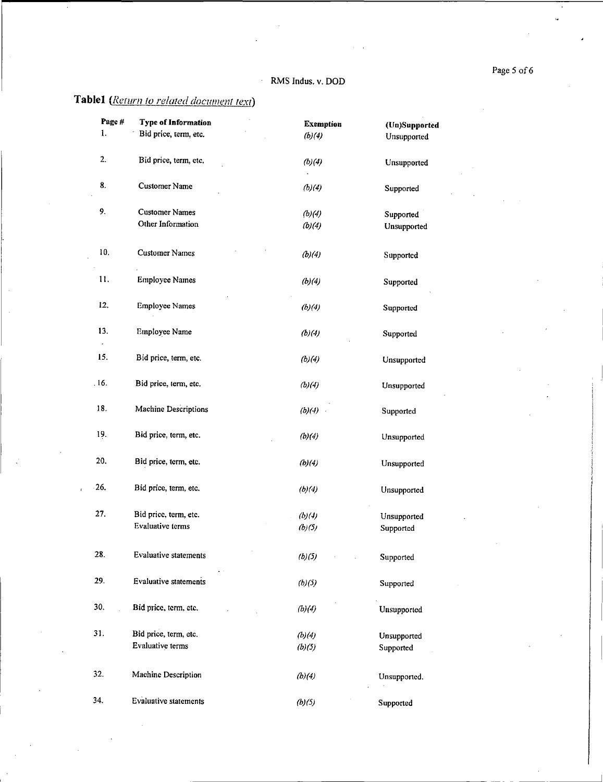Page 5 of 6

# RMS Indus. v. DOD

 $\hat{\mathbf{z}}$ 

# **Table1** (*Return to related document text*)

| Page # | <b>Type of Information</b>   | <b>Exemption</b> | (Un)Supported |
|--------|------------------------------|------------------|---------------|
| 1.     | Bid price, term, etc.        | (b)(4)           | Unsupported   |
| 2.     | Bid price, term, etc.        | (b)(4)           | Unsupported   |
| 8.     | <b>Customer Name</b>         | (b)(4)           | Supported     |
| 9.     | <b>Customer Names</b>        | (b)(4)           | Supported     |
|        | Other Information            | (b)(4)           | Unsupported   |
| 10.    | <b>Customer Names</b>        | (b)(4)           | Supported     |
| 11.    | <b>Employee Names</b>        | (b)(4)           | Supported     |
| 12.    | <b>Employee Names</b>        | (b)(4)           | Supported     |
| 13.    | <b>Employee Name</b>         | (b)(4)           | Supported     |
| 15.    | Bid price, term, etc.        | (b)(4)           | Unsupported   |
| 16.    | Bid price, term, etc.        | (b)(4)           | Unsupported   |
| 18.    | Machine Descriptions         | (b)(4)           | Supported     |
| 19.    | Bid price, term, etc.        | (b)(4)           | Unsupported   |
| 20.    | Bid price, term, etc.        | (b)(4)           | Unsupported   |
| 26.    | Bid price, term, etc.        | (b)(4)           | Unsupported   |
| 27.    | Bid price, term, etc.        | (b)(4)           | Unsupported   |
|        | <b>Evaluative</b> terms      | (b)(5)           | Supported     |
| 28.    | Evaluative statements        | (b)(5)           | Supported     |
| 29.    | <b>Evaluative statements</b> | (b)(5)           | Supported     |
| 30.    | Bid price, term, etc.        | (b)(4)           | Unsupported   |
| 31.    | Bid price, term, etc.        | (b)(4)           | Unsupported   |
|        | Evaluative terms             | (b)(5)           | Supported     |
| 32.    | Machine Description          | (b)(4)           | Unsupported.  |
| 34.    | <b>Evaluative statements</b> | (b)(5)           | Supported     |